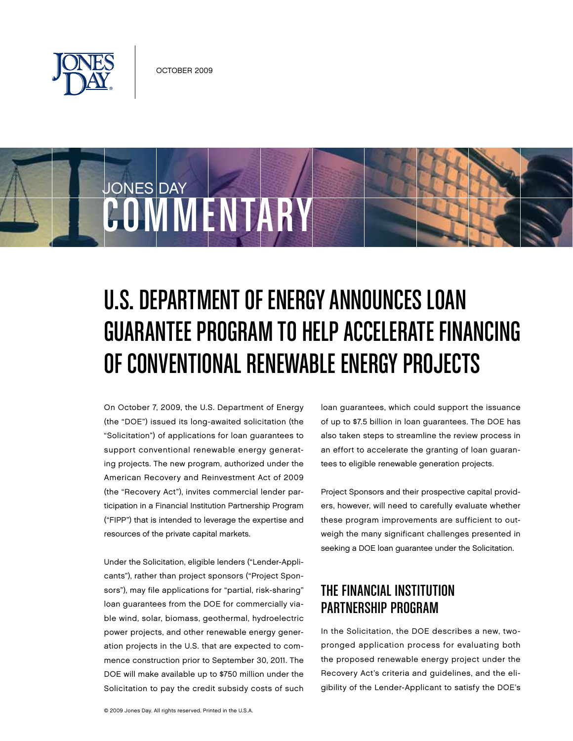

**COMMENTARY** 

JONES DAY

# U.S. DEPARTMENT OF ENERGY ANNOUNCES LOAN GUARANTEE PROGRAM TO HELP ACCELERATE FINANCING

OF CONVENTIONAL RENEWABLE ENERGY PROJECTS

On October 7, 2009, the U.S. Department of Energy (the "DOE") issued its long-awaited solicitation (the "Solicitation") of applications for loan guarantees to support conventional renewable energy generating projects. The new program, authorized under the American Recovery and Reinvestment Act of 2009 (the "Recovery Act"), invites commercial lender participation in a Financial Institution Partnership Program ("FIPP") that is intended to leverage the expertise and resources of the private capital markets.

Under the Solicitation, eligible lenders ("Lender-Applicants"), rather than project sponsors ("Project Sponsors"), may file applications for "partial, risk-sharing" loan guarantees from the DOE for commercially viable wind, solar, biomass, geothermal, hydroelectric power projects, and other renewable energy generation projects in the U.S. that are expected to commence construction prior to September 30, 2011. The DOE will make available up to \$750 million under the Solicitation to pay the credit subsidy costs of such loan guarantees, which could support the issuance of up to \$7.5 billion in loan guarantees. The DOE has also taken steps to streamline the review process in an effort to accelerate the granting of loan guarantees to eligible renewable generation projects.

Project Sponsors and their prospective capital providers, however, will need to carefully evaluate whether these program improvements are sufficient to outweigh the many significant challenges presented in seeking a DOE loan guarantee under the Solicitation.

# The Financial Institution Partnership Program

In the Solicitation, the DOE describes a new, twopronged application process for evaluating both the proposed renewable energy project under the Recovery Act's criteria and guidelines, and the eligibility of the Lender-Applicant to satisfy the DOE's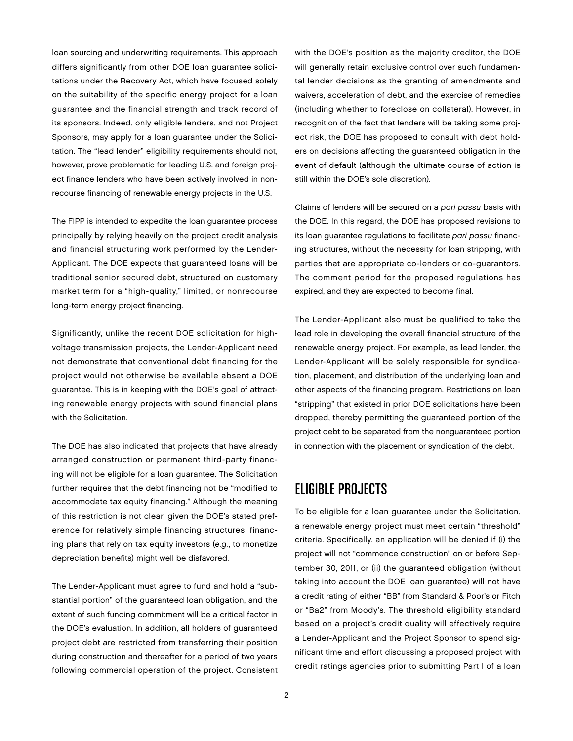loan sourcing and underwriting requirements. This approach differs significantly from other DOE loan guarantee solicitations under the Recovery Act, which have focused solely on the suitability of the specific energy project for a loan guarantee and the financial strength and track record of its sponsors. Indeed, only eligible lenders, and not Project Sponsors, may apply for a loan guarantee under the Solicitation. The "lead lender" eligibility requirements should not, however, prove problematic for leading U.S. and foreign project finance lenders who have been actively involved in nonrecourse financing of renewable energy projects in the U.S.

The FIPP is intended to expedite the loan guarantee process principally by relying heavily on the project credit analysis and financial structuring work performed by the Lender-Applicant. The DOE expects that guaranteed loans will be traditional senior secured debt, structured on customary market term for a "high-quality," limited, or nonrecourse long-term energy project financing.

Significantly, unlike the recent DOE solicitation for highvoltage transmission projects, the Lender-Applicant need not demonstrate that conventional debt financing for the project would not otherwise be available absent a DOE guarantee. This is in keeping with the DOE's goal of attracting renewable energy projects with sound financial plans with the Solicitation.

The DOE has also indicated that projects that have already arranged construction or permanent third-party financing will not be eligible for a loan guarantee. The Solicitation further requires that the debt financing not be "modified to accommodate tax equity financing." Although the meaning of this restriction is not clear, given the DOE's stated preference for relatively simple financing structures, financing plans that rely on tax equity investors (e.g., to monetize depreciation benefits) might well be disfavored.

The Lender-Applicant must agree to fund and hold a "substantial portion" of the guaranteed loan obligation, and the extent of such funding commitment will be a critical factor in the DOE's evaluation. In addition, all holders of guaranteed project debt are restricted from transferring their position during construction and thereafter for a period of two years following commercial operation of the project. Consistent with the DOE's position as the majority creditor, the DOE will generally retain exclusive control over such fundamental lender decisions as the granting of amendments and waivers, acceleration of debt, and the exercise of remedies (including whether to foreclose on collateral). However, in recognition of the fact that lenders will be taking some project risk, the DOE has proposed to consult with debt holders on decisions affecting the guaranteed obligation in the event of default (although the ultimate course of action is still within the DOE's sole discretion).

Claims of lenders will be secured on a pari passu basis with the DOE. In this regard, the DOE has proposed revisions to its loan quarantee regulations to facilitate pari passu financing structures, without the necessity for loan stripping, with parties that are appropriate co-lenders or co-guarantors. The comment period for the proposed regulations has expired, and they are expected to become final.

The Lender-Applicant also must be qualified to take the lead role in developing the overall financial structure of the renewable energy project. For example, as lead lender, the Lender-Applicant will be solely responsible for syndication, placement, and distribution of the underlying loan and other aspects of the financing program. Restrictions on loan "stripping" that existed in prior DOE solicitations have been dropped, thereby permitting the guaranteed portion of the project debt to be separated from the nonguaranteed portion in connection with the placement or syndication of the debt.

### Eligible Projects

To be eligible for a loan guarantee under the Solicitation, a renewable energy project must meet certain "threshold" criteria. Specifically, an application will be denied if (i) the project will not "commence construction" on or before September 30, 2011, or (ii) the guaranteed obligation (without taking into account the DOE loan guarantee) will not have a credit rating of either "BB" from Standard & Poor's or Fitch or "Ba2" from Moody's. The threshold eligibility standard based on a project's credit quality will effectively require a Lender-Applicant and the Project Sponsor to spend significant time and effort discussing a proposed project with credit ratings agencies prior to submitting Part I of a loan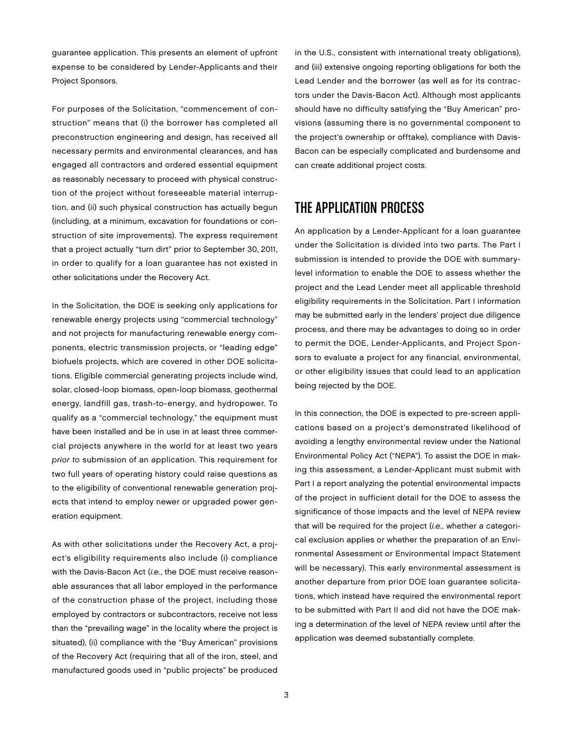guarantee application. This presents an element of upfront expense to be considered by Lender-Applicants and their Project Sponsors.

For purposes of the Solicitation, "commencement of construction" means that (i) the borrower has completed all preconstruction engineering and design, has received all necessary permits and environmental clearances, and has engaged all contractors and ordered essential equipment as reasonably necessary to proceed with physical construction of the project without foreseeable material interruption, and (ii) such physical construction has actually begun (including, at a minimum, excavation for foundations or construction of site improvements). The express requirement that a project actually "turn dirt" prior to September 30, 2011, in order to qualify for a loan guarantee has not existed in other solicitations under the Recovery Act.

In the Solicitation, the DOE is seeking only applications for renewable energy projects using "commercial technology" and not projects for manufacturing renewable energy components, electric transmission projects, or "leading edge" biofuels projects, which are covered in other DOE solicitations. Eligible commercial generating projects include wind, solar, closed-loop biomass, open-loop biomass, geothermal energy, landfill gas, trash-to-energy, and hydropower. To qualify as a "commercial technology," the equipment must have been installed and be in use in at least three commercial projects anywhere in the world for at least two years prior to submission of an application. This requirement for two full years of operating history could raise questions as to the eligibility of conventional renewable generation projects that intend to employ newer or upgraded power generation equipment.

As with other solicitations under the Recovery Act, a project's eligibility requirements also include (i) compliance with the Davis-Bacon Act (i.e., the DOE must receive reasonable assurances that all labor employed in the performance of the construction phase of the project, including those employed by contractors or subcontractors, receive not less than the "prevailing wage" in the locality where the project is situated), (ii) compliance with the "Buy American" provisions of the Recovery Act (requiring that all of the iron, steel, and manufactured goods used in "public projects" be produced

in the U.S., consistent with international treaty obligations), and (iii) extensive ongoing reporting obligations for both the Lead Lender and the borrower (as well as for its contractors under the Davis-Bacon Act). Although most applicants should have no difficulty satisfying the "Buy American" provisions (assuming there is no governmental component to the project's ownership or offtake), compliance with Davis-Bacon can be especially complicated and burdensome and can create additional project costs.

## THE APPLICATION PROCESS

An application by a Lender-Applicant for a loan guarantee under the Solicitation is divided into two parts. The Part I submission is intended to provide the DOE with summarylevel information to enable the DOE to assess whether the project and the Lead Lender meet all applicable threshold eligibility requirements in the Solicitation. Part I information may be submitted early in the lenders' project due diligence process, and there may be advantages to doing so in order to permit the DOE, Lender-Applicants, and Project Sponsors to evaluate a project for any financial, environmental, or other eligibility issues that could lead to an application being rejected by the DOE.

In this connection, the DOE is expected to pre-screen applications based on a project's demonstrated likelihood of avoiding a lengthy environmental review under the National Environmental Policy Act ("NEPA"). To assist the DOE in making this assessment, a Lender-Applicant must submit with Part I a report analyzing the potential environmental impacts of the project in sufficient detail for the DOE to assess the significance of those impacts and the level of NEPA review that will be required for the project (i.e., whether a categorical exclusion applies or whether the preparation of an Environmental Assessment or Environmental Impact Statement will be necessary). This early environmental assessment is another departure from prior DOE loan guarantee solicitations, which instead have required the environmental report to be submitted with Part II and did not have the DOE making a determination of the level of NEPA review until after the application was deemed substantially complete.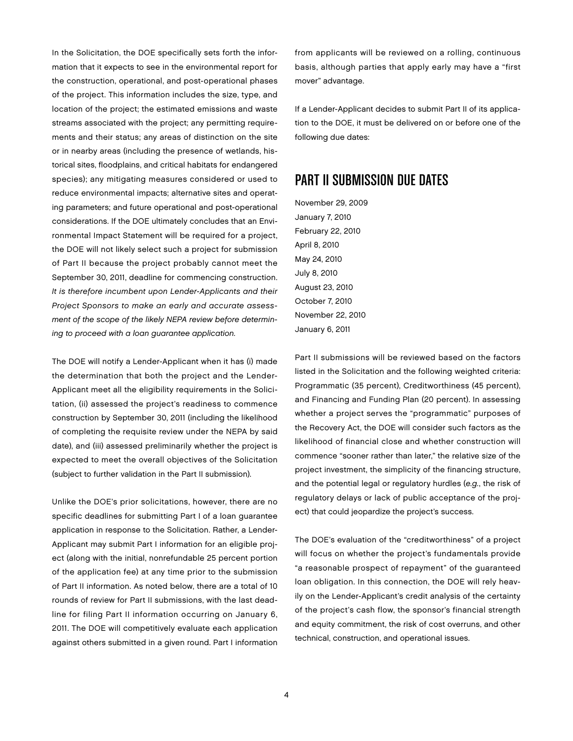In the Solicitation, the DOE specifically sets forth the information that it expects to see in the environmental report for the construction, operational, and post-operational phases of the project. This information includes the size, type, and location of the project; the estimated emissions and waste streams associated with the project; any permitting requirements and their status; any areas of distinction on the site or in nearby areas (including the presence of wetlands, historical sites, floodplains, and critical habitats for endangered species); any mitigating measures considered or used to reduce environmental impacts; alternative sites and operating parameters; and future operational and post-operational considerations. If the DOE ultimately concludes that an Environmental Impact Statement will be required for a project, the DOE will not likely select such a project for submission of Part II because the project probably cannot meet the September 30, 2011, deadline for commencing construction. It is therefore incumbent upon Lender-Applicants and their Project Sponsors to make an early and accurate assessment of the scope of the likely NEPA review before determining to proceed with a loan guarantee application.

The DOE will notify a Lender-Applicant when it has (i) made the determination that both the project and the Lender-Applicant meet all the eligibility requirements in the Solicitation, (ii) assessed the project's readiness to commence construction by September 30, 2011 (including the likelihood of completing the requisite review under the NEPA by said date), and (iii) assessed preliminarily whether the project is expected to meet the overall objectives of the Solicitation (subject to further validation in the Part II submission).

Unlike the DOE's prior solicitations, however, there are no specific deadlines for submitting Part I of a loan guarantee application in response to the Solicitation. Rather, a Lender-Applicant may submit Part I information for an eligible project (along with the initial, nonrefundable 25 percent portion of the application fee) at any time prior to the submission of Part II information. As noted below, there are a total of 10 rounds of review for Part II submissions, with the last deadline for filing Part II information occurring on January 6, 2011. The DOE will competitively evaluate each application against others submitted in a given round. Part I information

from applicants will be reviewed on a rolling, continuous basis, although parties that apply early may have a "first mover" advantage.

If a Lender-Applicant decides to submit Part II of its application to the DOE, it must be delivered on or before one of the following due dates:

#### Part II Submission Due Dates

November 29, 2009 January 7, 2010 February 22, 2010 April 8, 2010 May 24, 2010 July 8, 2010 August 23, 2010 October 7, 2010 November 22, 2010 January 6, 2011

Part II submissions will be reviewed based on the factors listed in the Solicitation and the following weighted criteria: Programmatic (35 percent), Creditworthiness (45 percent), and Financing and Funding Plan (20 percent). In assessing whether a project serves the "programmatic" purposes of the Recovery Act, the DOE will consider such factors as the likelihood of financial close and whether construction will commence "sooner rather than later," the relative size of the project investment, the simplicity of the financing structure, and the potential legal or regulatory hurdles (e.g., the risk of regulatory delays or lack of public acceptance of the project) that could jeopardize the project's success.

The DOE's evaluation of the "creditworthiness" of a project will focus on whether the project's fundamentals provide "a reasonable prospect of repayment" of the guaranteed loan obligation. In this connection, the DOE will rely heavily on the Lender-Applicant's credit analysis of the certainty of the project's cash flow, the sponsor's financial strength and equity commitment, the risk of cost overruns, and other technical, construction, and operational issues.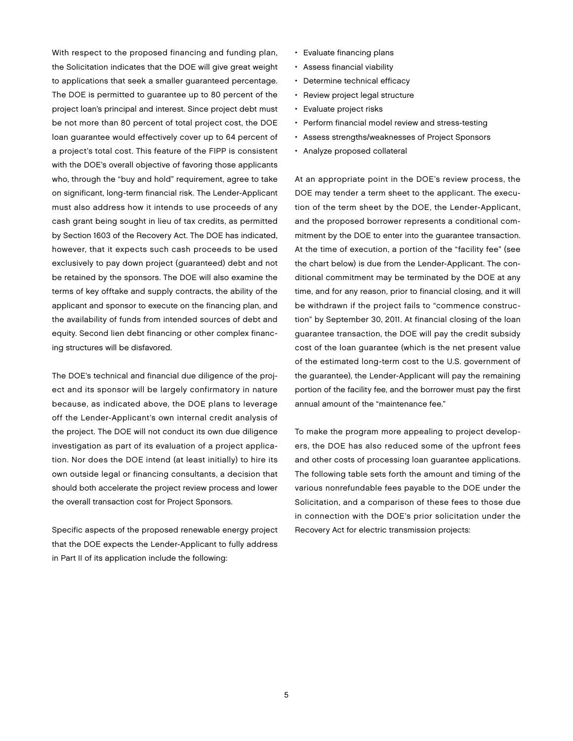With respect to the proposed financing and funding plan, the Solicitation indicates that the DOE will give great weight to applications that seek a smaller guaranteed percentage. The DOE is permitted to guarantee up to 80 percent of the project loan's principal and interest. Since project debt must be not more than 80 percent of total project cost, the DOE loan guarantee would effectively cover up to 64 percent of a project's total cost. This feature of the FIPP is consistent with the DOE's overall objective of favoring those applicants who, through the "buy and hold" requirement, agree to take on significant, long-term financial risk. The Lender-Applicant must also address how it intends to use proceeds of any cash grant being sought in lieu of tax credits, as permitted by Section 1603 of the Recovery Act. The DOE has indicated, however, that it expects such cash proceeds to be used exclusively to pay down project (guaranteed) debt and not be retained by the sponsors. The DOE will also examine the terms of key offtake and supply contracts, the ability of the applicant and sponsor to execute on the financing plan, and the availability of funds from intended sources of debt and equity. Second lien debt financing or other complex financing structures will be disfavored.

The DOE's technical and financial due diligence of the project and its sponsor will be largely confirmatory in nature because, as indicated above, the DOE plans to leverage off the Lender-Applicant's own internal credit analysis of the project. The DOE will not conduct its own due diligence investigation as part of its evaluation of a project application. Nor does the DOE intend (at least initially) to hire its own outside legal or financing consultants, a decision that should both accelerate the project review process and lower the overall transaction cost for Project Sponsors.

Specific aspects of the proposed renewable energy project that the DOE expects the Lender-Applicant to fully address in Part II of its application include the following:

- Evaluate financing plans
- Assess financial viability
- Determine technical efficacy
- Review project legal structure
- Evaluate project risks
- Perform financial model review and stress-testing
- Assess strengths/weaknesses of Project Sponsors
- Analyze proposed collateral

At an appropriate point in the DOE's review process, the DOE may tender a term sheet to the applicant. The execution of the term sheet by the DOE, the Lender-Applicant, and the proposed borrower represents a conditional commitment by the DOE to enter into the guarantee transaction. At the time of execution, a portion of the "facility fee" (see the chart below) is due from the Lender-Applicant. The conditional commitment may be terminated by the DOE at any time, and for any reason, prior to financial closing, and it will be withdrawn if the project fails to "commence construction" by September 30, 2011. At financial closing of the loan guarantee transaction, the DOE will pay the credit subsidy cost of the loan guarantee (which is the net present value of the estimated long-term cost to the U.S. government of the guarantee), the Lender-Applicant will pay the remaining portion of the facility fee, and the borrower must pay the first annual amount of the "maintenance fee."

To make the program more appealing to project developers, the DOE has also reduced some of the upfront fees and other costs of processing loan guarantee applications. The following table sets forth the amount and timing of the various nonrefundable fees payable to the DOE under the Solicitation, and a comparison of these fees to those due in connection with the DOE's prior solicitation under the Recovery Act for electric transmission projects: